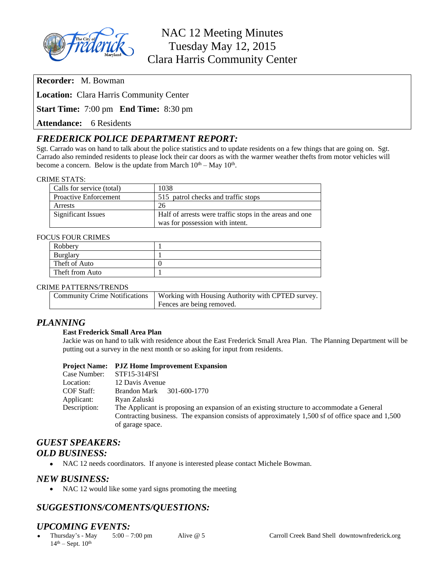

**Recorder:** M. Bowman

**Location:** Clara Harris Community Center

**Start Time:** 7:00 pm **End Time:** 8:30 pm

**Attendance:** 6 Residents

# *FREDERICK POLICE DEPARTMENT REPORT:*

Sgt. Carrado was on hand to talk about the police statistics and to update residents on a few things that are going on. Sgt. Carrado also reminded residents to please lock their car doors as with the warmer weather thefts from motor vehicles will become a concern. Below is the update from March  $10<sup>th</sup> - May 10<sup>th</sup>$ .

#### CRIME STATS:

| Calls for service (total)    | 1038                                                    |
|------------------------------|---------------------------------------------------------|
| <b>Proactive Enforcement</b> | 515 patrol checks and traffic stops                     |
| Arrests                      | 26                                                      |
| Significant Issues           | Half of arrests were traffic stops in the areas and one |
|                              | was for possession with intent.                         |

#### FOCUS FOUR CRIMES

| Robbery         |  |
|-----------------|--|
| <b>Burglary</b> |  |
| Theft of Auto   |  |
| Theft from Auto |  |

#### CRIME PATTERNS/TRENDS

| Community Crime Notifications   Working with Housing Authority with CPTED survey. |
|-----------------------------------------------------------------------------------|
| Fences are being removed.                                                         |

## *PLANNING*

#### **East Frederick Small Area Plan**

Jackie was on hand to talk with residence about the East Frederick Small Area Plan. The Planning Department will be putting out a survey in the next month or so asking for input from residents.

#### **Project Name: PJZ Home Improvement Expansion**

| STF15-314FSI                                                                                     |
|--------------------------------------------------------------------------------------------------|
| 12 Davis Avenue                                                                                  |
| Brandon Mark 301-600-1770                                                                        |
| Ryan Zaluski                                                                                     |
| The Applicant is proposing an expansion of an existing structure to accommodate a General        |
| Contracting business. The expansion consists of approximately 1,500 sf of office space and 1,500 |
| of garage space.                                                                                 |
|                                                                                                  |

# *GUEST SPEAKERS: OLD BUSINESS:*

NAC 12 needs coordinators. If anyone is interested please contact Michele Bowman.

#### *NEW BUSINESS:*

• NAC 12 would like some yard signs promoting the meeting

# *SUGGESTIONS/COMENTS/QUESTIONS:*

# *UPCOMING EVENTS:*<br>• Thursday's - May 5:00 – 7:00 pm

 Thursday's - May  $14<sup>th</sup> - Sept. 10<sup>th</sup>$